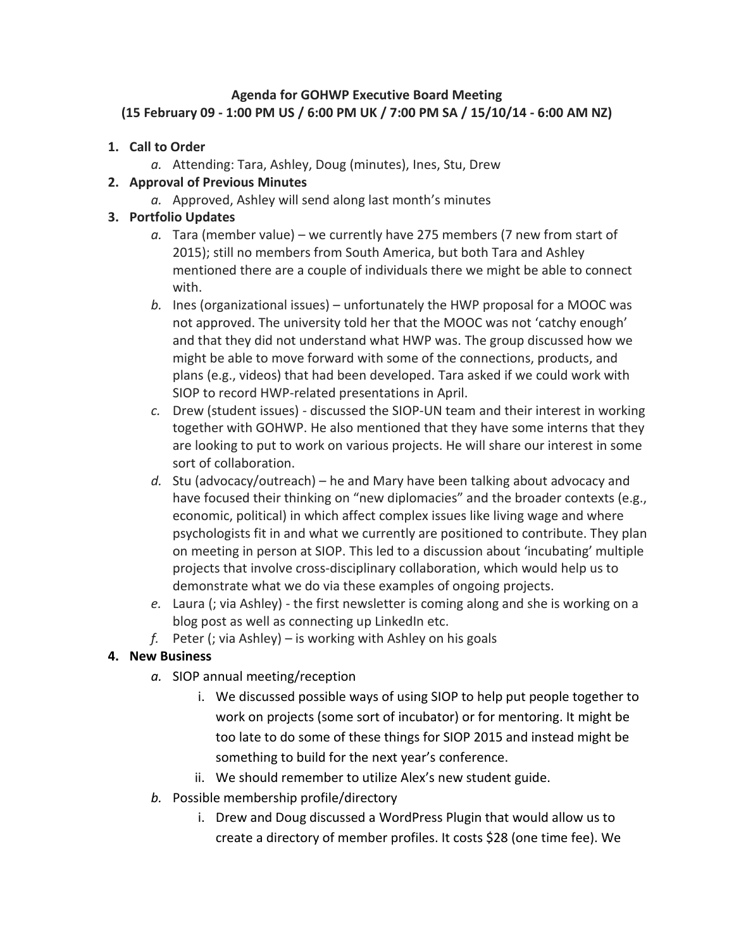## **Agenda for GOHWP Executive Board Meeting (15 February 09 - 1:00 PM US / 6:00 PM UK / 7:00 PM SA / 15/10/14 - 6:00 AM NZ)**

- **1. Call to Order**
	- *a.* Attending: Tara, Ashley, Doug (minutes), Ines, Stu, Drew

## **2. Approval of Previous Minutes**

*a.* Approved, Ashley will send along last month's minutes

## **3. Portfolio Updates**

- *a.* Tara (member value) we currently have 275 members (7 new from start of 2015); still no members from South America, but both Tara and Ashley mentioned there are a couple of individuals there we might be able to connect with.
- *b.* Ines (organizational issues) unfortunately the HWP proposal for a MOOC was not approved. The university told her that the MOOC was not 'catchy enough' and that they did not understand what HWP was. The group discussed how we might be able to move forward with some of the connections, products, and plans (e.g., videos) that had been developed. Tara asked if we could work with SIOP to record HWP-related presentations in April.
- *c.* Drew (student issues) discussed the SIOP-UN team and their interest in working together with GOHWP. He also mentioned that they have some interns that they are looking to put to work on various projects. He will share our interest in some sort of collaboration.
- *d.* Stu (advocacy/outreach) he and Mary have been talking about advocacy and have focused their thinking on "new diplomacies" and the broader contexts (e.g., economic, political) in which affect complex issues like living wage and where psychologists fit in and what we currently are positioned to contribute. They plan on meeting in person at SIOP. This led to a discussion about 'incubating' multiple projects that involve cross-disciplinary collaboration, which would help us to demonstrate what we do via these examples of ongoing projects.
- *e.* Laura (; via Ashley) the first newsletter is coming along and she is working on a blog post as well as connecting up LinkedIn etc.
- *f.* Peter (; via Ashley) is working with Ashley on his goals

## **4. New Business**

- *a.* SIOP annual meeting/reception
	- i. We discussed possible ways of using SIOP to help put people together to work on projects (some sort of incubator) or for mentoring. It might be too late to do some of these things for SIOP 2015 and instead might be something to build for the next year's conference.
	- ii. We should remember to utilize Alex's new student guide.
- *b.* Possible membership profile/directory
	- i. Drew and Doug discussed a WordPress Plugin that would allow us to create a directory of member profiles. It costs \$28 (one time fee). We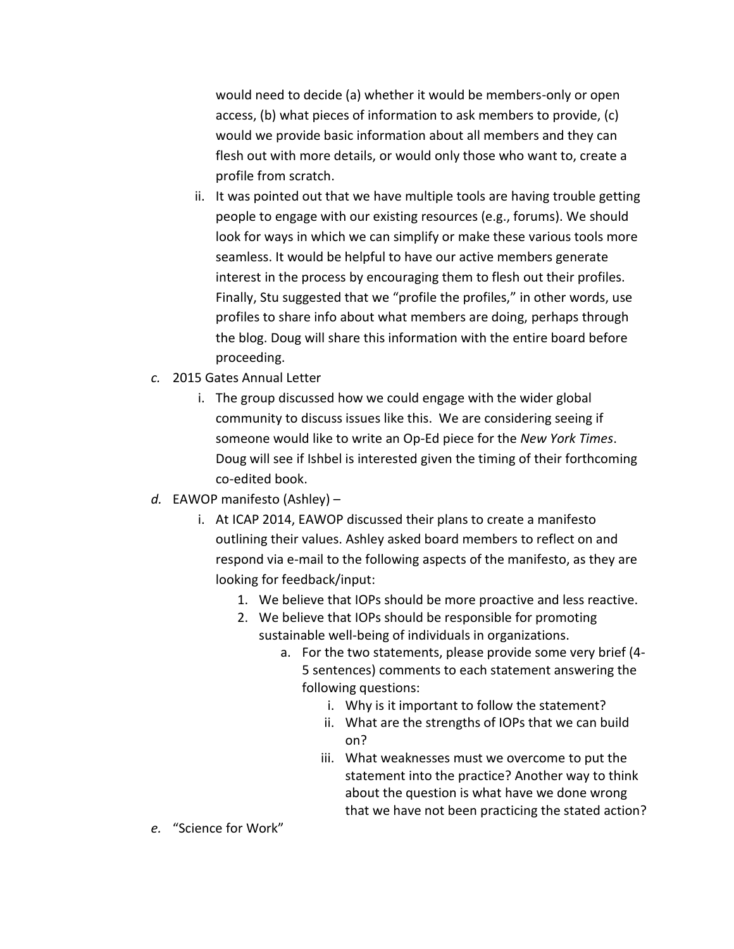would need to decide (a) whether it would be members-only or open access, (b) what pieces of information to ask members to provide, (c) would we provide basic information about all members and they can flesh out with more details, or would only those who want to, create a profile from scratch.

- ii. It was pointed out that we have multiple tools are having trouble getting people to engage with our existing resources (e.g., forums). We should look for ways in which we can simplify or make these various tools more seamless. It would be helpful to have our active members generate interest in the process by encouraging them to flesh out their profiles. Finally, Stu suggested that we "profile the profiles," in other words, use profiles to share info about what members are doing, perhaps through the blog. Doug will share this information with the entire board before proceeding.
- *c.* 2015 Gates Annual Letter
	- i. The group discussed how we could engage with the wider global community to discuss issues like this. We are considering seeing if someone would like to write an Op-Ed piece for the *New York Times*. Doug will see if Ishbel is interested given the timing of their forthcoming co-edited book.
- *d.* EAWOP manifesto (Ashley)
	- i. At ICAP 2014, EAWOP discussed their plans to create a manifesto outlining their values. Ashley asked board members to reflect on and respond via e-mail to the following aspects of the manifesto, as they are looking for feedback/input:
		- 1. We believe that IOPs should be more proactive and less reactive.
		- 2. We believe that IOPs should be responsible for promoting sustainable well-being of individuals in organizations.
			- a. For the two statements, please provide some very brief (4- 5 sentences) comments to each statement answering the following questions:
				- i. Why is it important to follow the statement?
				- ii. What are the strengths of IOPs that we can build on?
				- iii. What weaknesses must we overcome to put the statement into the practice? Another way to think about the question is what have we done wrong that we have not been practicing the stated action?
- *e.* "Science for Work"